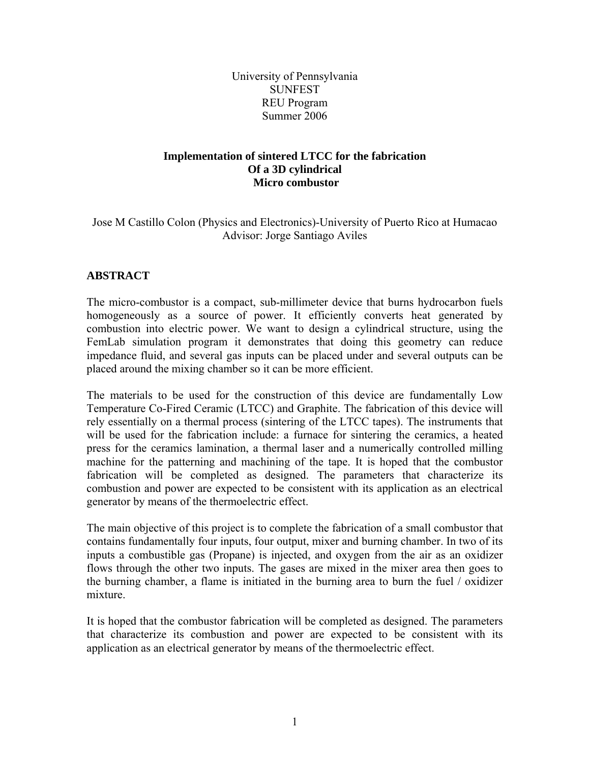University of Pennsylvania SUNFEST REU Program Summer 2006

# **Implementation of sintered LTCC for the fabrication Of a 3D cylindrical Micro combustor**

Jose M Castillo Colon (Physics and Electronics)-University of Puerto Rico at Humacao Advisor: Jorge Santiago Aviles

## **ABSTRACT**

The micro-combustor is a compact, sub-millimeter device that burns hydrocarbon fuels homogeneously as a source of power. It efficiently converts heat generated by combustion into electric power. We want to design a cylindrical structure, using the FemLab simulation program it demonstrates that doing this geometry can reduce impedance fluid, and several gas inputs can be placed under and several outputs can be placed around the mixing chamber so it can be more efficient.

The materials to be used for the construction of this device are fundamentally Low Temperature Co-Fired Ceramic (LTCC) and Graphite. The fabrication of this device will rely essentially on a thermal process (sintering of the LTCC tapes). The instruments that will be used for the fabrication include: a furnace for sintering the ceramics, a heated press for the ceramics lamination, a thermal laser and a numerically controlled milling machine for the patterning and machining of the tape. It is hoped that the combustor fabrication will be completed as designed. The parameters that characterize its combustion and power are expected to be consistent with its application as an electrical generator by means of the thermoelectric effect.

The main objective of this project is to complete the fabrication of a small combustor that contains fundamentally four inputs, four output, mixer and burning chamber. In two of its inputs a combustible gas (Propane) is injected, and oxygen from the air as an oxidizer flows through the other two inputs. The gases are mixed in the mixer area then goes to the burning chamber, a flame is initiated in the burning area to burn the fuel / oxidizer mixture.

It is hoped that the combustor fabrication will be completed as designed. The parameters that characterize its combustion and power are expected to be consistent with its application as an electrical generator by means of the thermoelectric effect.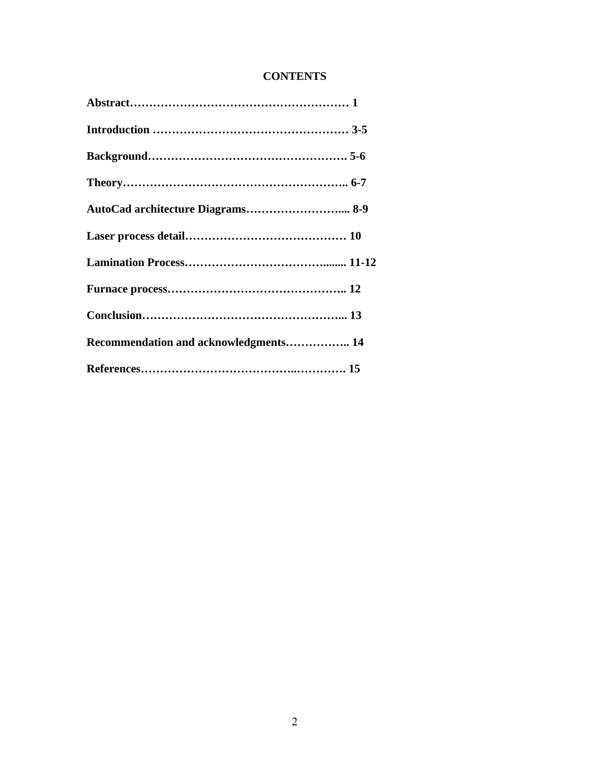# **CONTENTS**

| AutoCad architecture Diagrams 8-9     |  |
|---------------------------------------|--|
|                                       |  |
|                                       |  |
|                                       |  |
|                                       |  |
| Recommendation and acknowledgments 14 |  |
|                                       |  |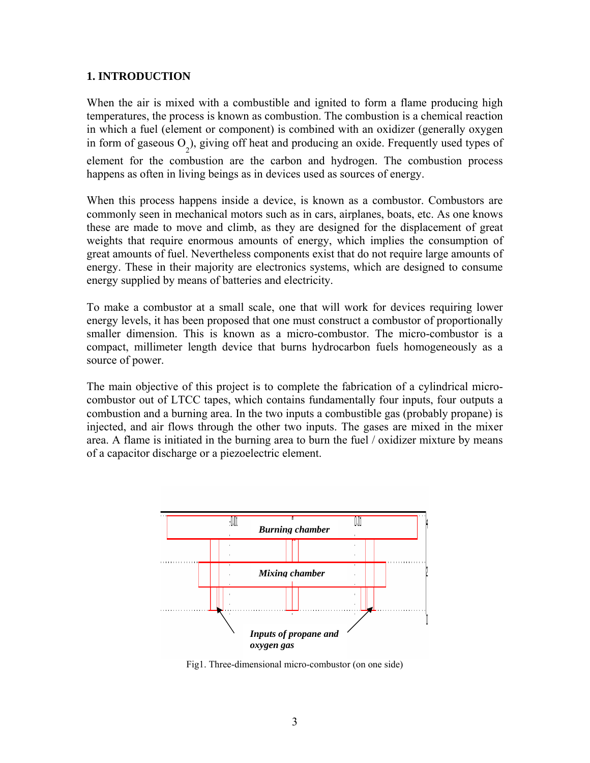## **1. INTRODUCTION**

When the air is mixed with a combustible and ignited to form a flame producing high temperatures, the process is known as combustion. The combustion is a chemical reaction in which a fuel (element or component) is combined with an oxidizer (generally oxygen in form of gaseous  $O_2$ ), giving off heat and producing an oxide. Frequently used types of element for the combustion are the carbon and hydrogen. The combustion process happens as often in living beings as in devices used as sources of energy.

When this process happens inside a device, is known as a combustor. Combustors are commonly seen in mechanical motors such as in cars, airplanes, boats, etc. As one knows these are made to move and climb, as they are designed for the displacement of great weights that require enormous amounts of energy, which implies the consumption of great amounts of fuel. Nevertheless components exist that do not require large amounts of energy. These in their majority are electronics systems, which are designed to consume energy supplied by means of batteries and electricity.

To make a combustor at a small scale, one that will work for devices requiring lower energy levels, it has been proposed that one must construct a combustor of proportionally smaller dimension. This is known as a micro-combustor. The micro-combustor is a compact, millimeter length device that burns hydrocarbon fuels homogeneously as a source of power.

The main objective of this project is to complete the fabrication of a cylindrical microcombustor out of LTCC tapes, which contains fundamentally four inputs, four outputs a combustion and a burning area. In the two inputs a combustible gas (probably propane) is injected, and air flows through the other two inputs. The gases are mixed in the mixer area. A flame is initiated in the burning area to burn the fuel / oxidizer mixture by means of a capacitor discharge or a piezoelectric element.



Fig1. Three-dimensional micro-combustor (on one side)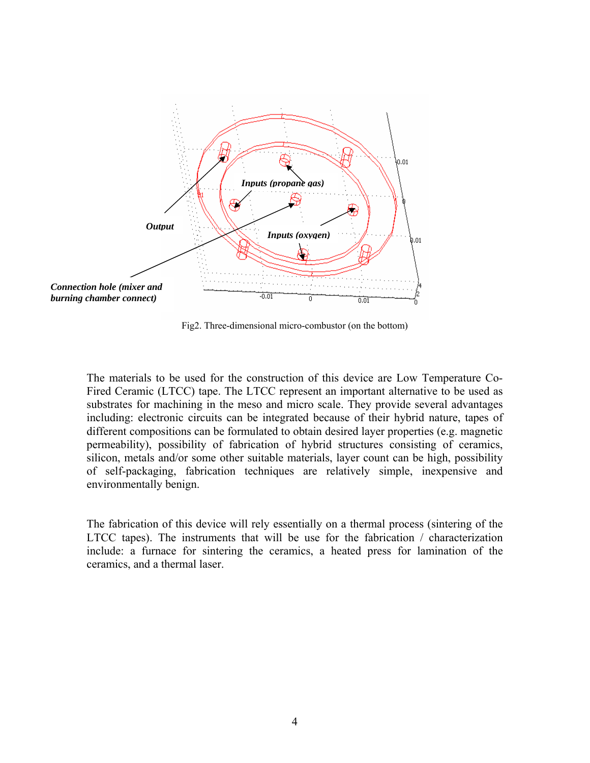

Fig2. Three-dimensional micro-combustor (on the bottom)

The materials to be used for the construction of this device are Low Temperature Co-Fired Ceramic (LTCC) tape. The LTCC represent an important alternative to be used as substrates for machining in the meso and micro scale. They provide several advantages including: electronic circuits can be integrated because of their hybrid nature, tapes of different compositions can be formulated to obtain desired layer properties (e.g. magnetic permeability), possibility of fabrication of hybrid structures consisting of ceramics, silicon, metals and/or some other suitable materials, layer count can be high, possibility of self-packaging, fabrication techniques are relatively simple, inexpensive and environmentally benign.

The fabrication of this device will rely essentially on a thermal process (sintering of the LTCC tapes). The instruments that will be use for the fabrication / characterization include: a furnace for sintering the ceramics, a heated press for lamination of the ceramics, and a thermal laser.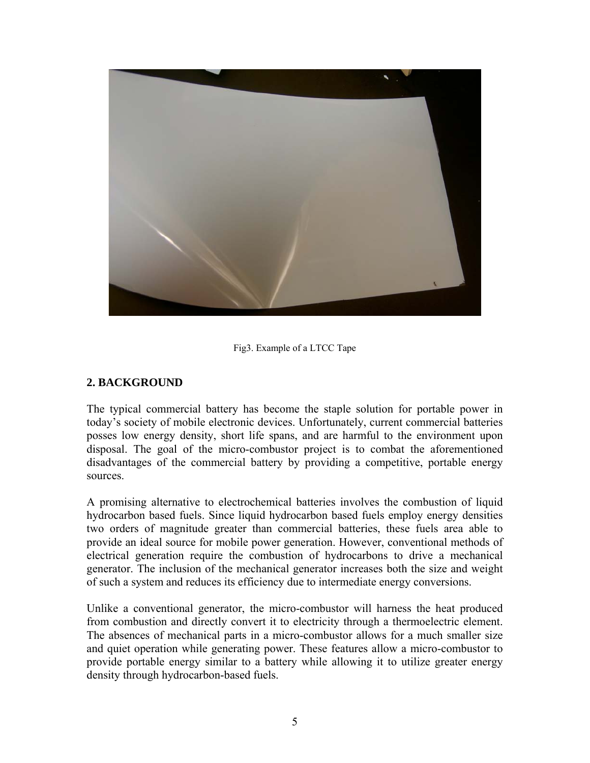

Fig3. Example of a LTCC Tape

## **2. BACKGROUND**

The typical commercial battery has become the staple solution for portable power in today's society of mobile electronic devices. Unfortunately, current commercial batteries posses low energy density, short life spans, and are harmful to the environment upon disposal. The goal of the micro-combustor project is to combat the aforementioned disadvantages of the commercial battery by providing a competitive, portable energy sources.

A promising alternative to electrochemical batteries involves the combustion of liquid hydrocarbon based fuels. Since liquid hydrocarbon based fuels employ energy densities two orders of magnitude greater than commercial batteries, these fuels area able to provide an ideal source for mobile power generation. However, conventional methods of electrical generation require the combustion of hydrocarbons to drive a mechanical generator. The inclusion of the mechanical generator increases both the size and weight of such a system and reduces its efficiency due to intermediate energy conversions.

Unlike a conventional generator, the micro-combustor will harness the heat produced from combustion and directly convert it to electricity through a thermoelectric element. The absences of mechanical parts in a micro-combustor allows for a much smaller size and quiet operation while generating power. These features allow a micro-combustor to provide portable energy similar to a battery while allowing it to utilize greater energy density through hydrocarbon-based fuels.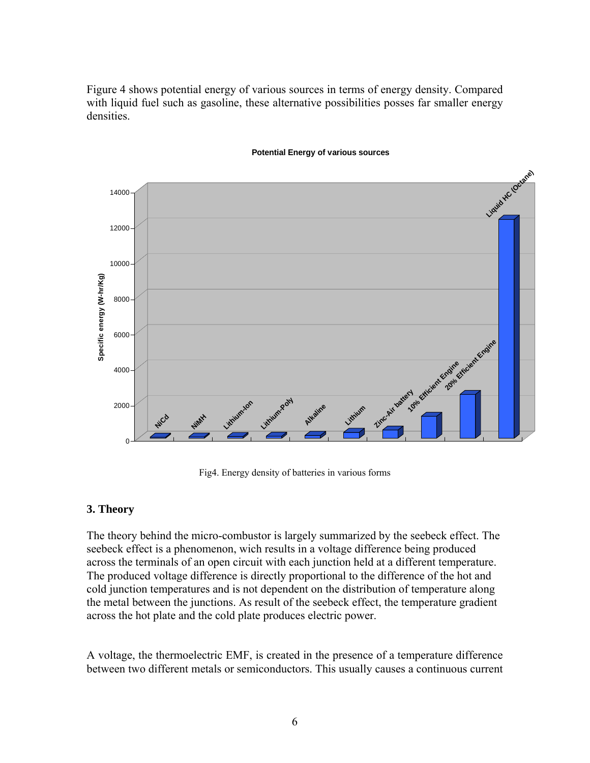Figure 4 shows potential energy of various sources in terms of energy density. Compared with liquid fuel such as gasoline, these alternative possibilities posses far smaller energy densities.



#### **Potential Energy of various sources**

Fig4. Energy density of batteries in various forms

#### **3. Theory**

The theory behind the micro-combustor is largely summarized by the seebeck effect. The seebeck effect is a phenomenon, wich results in a voltage difference being produced across the terminals of an open circuit with each junction held at a different temperature. The produced voltage difference is directly proportional to the difference of the hot and cold junction temperatures and is not dependent on the distribution of temperature along the metal between the junctions. As result of the seebeck effect, the temperature gradient across the hot plate and the cold plate produces electric power.

A [voltage](http://en.wikipedia.org/wiki/Voltage), the thermoelectric [EMF,](http://en.wikipedia.org/wiki/Electromotive_force) is created in the presence of a [temperature](http://en.wikipedia.org/wiki/Temperature) difference between two different metals or [semiconductors](http://en.wikipedia.org/wiki/Semiconductor). This usually causes a continuous current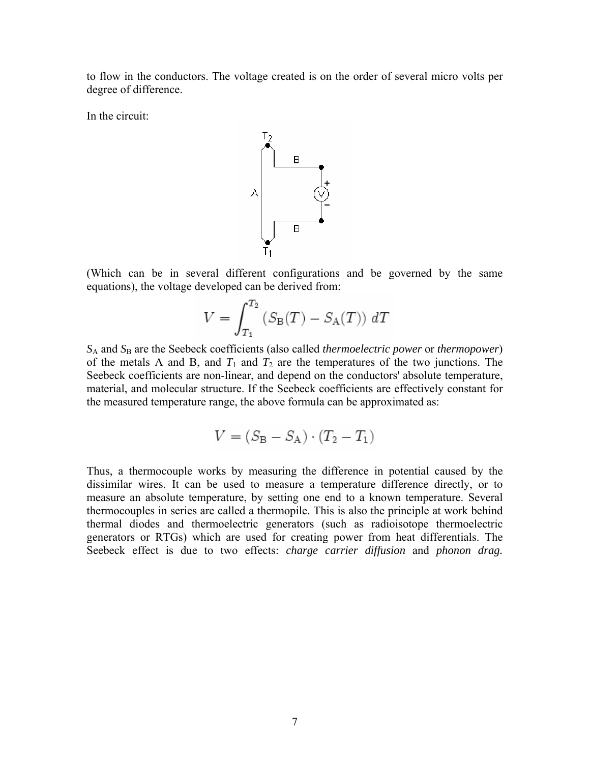to flow in the conductors. The voltage created is on the order of several micro volts per degree of difference.

In the circuit:



(Which can be in several different configurations and be governed by the same equations), the voltage developed can be derived from:

$$
V = \int_{T_1}^{T_2} \left( S_{\rm B}(T) - S_{\rm A}(T) \right) \, dT
$$

*S*A and *S*B are the [Seebeck coefficients](http://en.wikipedia.org/wiki/Seebeck_coefficient) (also called *thermoelectric power* or *thermopower*) of the metals A and B, and  $T_1$  and  $T_2$  are the temperatures of the two junctions. The Seebeck coefficients are non-linear, and depend on the conductors' absolute temperature, material, and molecular structure. If the Seebeck coefficients are effectively constant for the measured temperature range, the above formula can be approximated as:

$$
V = (S_{\mathrm B}-S_{\mathrm A})\cdot(T_2-T_1)
$$

Thus, a [thermocouple](http://en.wikipedia.org/wiki/Thermocouple) works by measuring the difference in potential caused by the dissimilar wires. It can be used to measure a temperature difference directly, or to measure an absolute temperature, by setting one end to a known temperature. Several thermocouples in series are called a thermopile. This is also the principle at work behind [thermal diodes](http://en.wikipedia.org/wiki/Thermal_diode) and [thermoelectric generators](http://en.wikipedia.org/wiki/Thermoelectric_generator) (such as [radioisotope thermoelectric](http://en.wikipedia.org/wiki/Radioisotope_thermoelectric_generator)  [generators](http://en.wikipedia.org/wiki/Radioisotope_thermoelectric_generator) or RTGs) which are used for creating power from heat differentials. The Seebeck effect is due to two effects: *charge carrier diffusion* and *phonon drag.*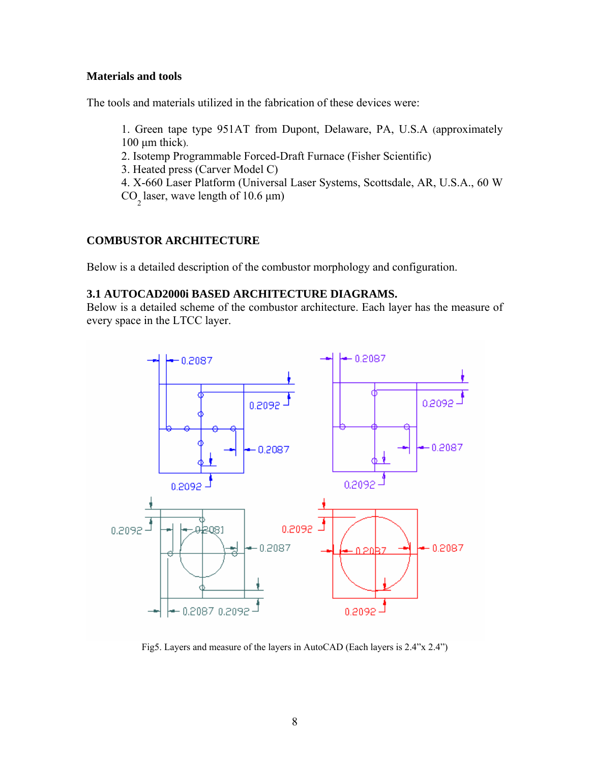## **Materials and tools**

The tools and materials utilized in the fabrication of these devices were:

1. Green tape type 951AT from Dupont, Delaware, PA, U.S.A (approximately  $100 \mu m$  thick).

2. Isotemp Programmable Forced-Draft Furnace (Fisher Scientific)

- 3. Heated press (Carver Model C)
- 4. X-660 Laser Platform (Universal Laser Systems, Scottsdale, AR, U.S.A., 60 W
- $CO_2$  laser, wave length of 10.6  $\mu$ m)

# **COMBUSTOR ARCHITECTURE**

Below is a detailed description of the combustor morphology and configuration.

## **3.1 AUTOCAD2000i BASED ARCHITECTURE DIAGRAMS.**

Below is a detailed scheme of the combustor architecture. Each layer has the measure of every space in the LTCC layer.



Fig5. Layers and measure of the layers in AutoCAD (Each layers is 2.4"x 2.4")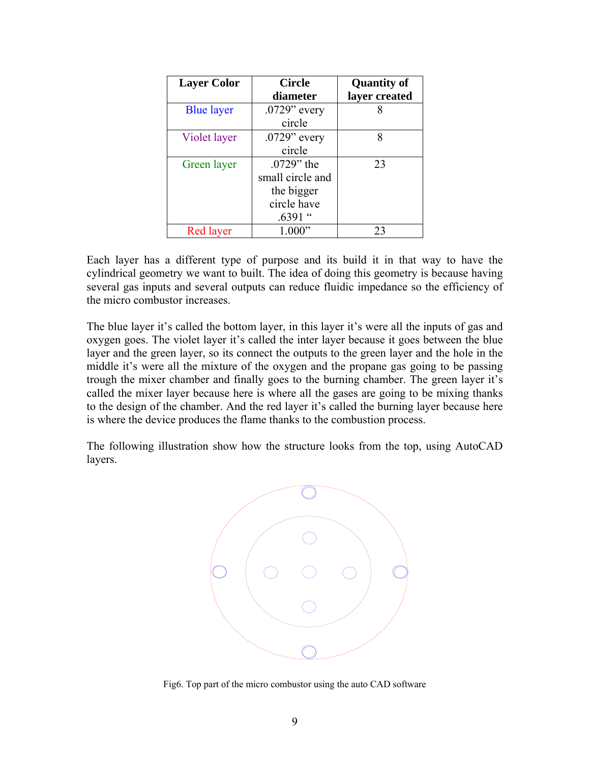| <b>Layer Color</b> | <b>Circle</b>    | <b>Quantity of</b> |
|--------------------|------------------|--------------------|
|                    | diameter         | layer created      |
| <b>Blue layer</b>  | $.0729$ " every  |                    |
|                    | circle           |                    |
| Violet layer       | $.0729$ " every  | 8                  |
|                    | circle           |                    |
| Green layer        | $.0729$ " the    | 23                 |
|                    | small circle and |                    |
|                    | the bigger       |                    |
|                    | circle have      |                    |
|                    | $.6391$ "        |                    |
| <b>Red layer</b>   | 1.000"           | 23                 |

Each layer has a different type of purpose and its build it in that way to have the cylindrical geometry we want to built. The idea of doing this geometry is because having several gas inputs and several outputs can reduce fluidic impedance so the efficiency of the micro combustor increases.

The blue layer it's called the bottom layer, in this layer it's were all the inputs of gas and oxygen goes. The violet layer it's called the inter layer because it goes between the blue layer and the green layer, so its connect the outputs to the green layer and the hole in the middle it's were all the mixture of the oxygen and the propane gas going to be passing trough the mixer chamber and finally goes to the burning chamber. The green layer it's called the mixer layer because here is where all the gases are going to be mixing thanks to the design of the chamber. And the red layer it's called the burning layer because here is where the device produces the flame thanks to the combustion process.

The following illustration show how the structure looks from the top, using AutoCAD layers.



Fig6. Top part of the micro combustor using the auto CAD software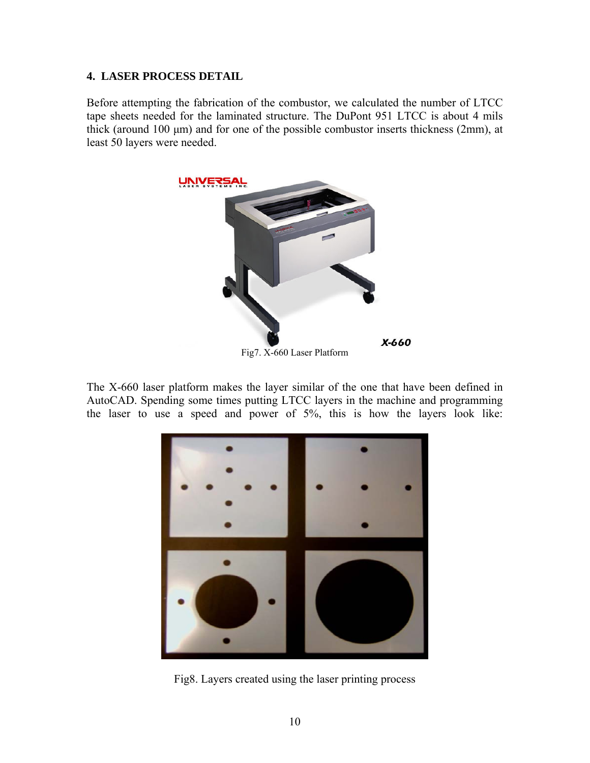#### **4. LASER PROCESS DETAIL**

Before attempting the fabrication of the combustor, we calculated the number of LTCC tape sheets needed for the laminated structure. The DuPont 951 LTCC is about 4 mils thick (around 100 μm) and for one of the possible combustor inserts thickness (2mm), at least 50 layers were needed.



The X-660 laser platform makes the layer similar of the one that have been defined in AutoCAD. Spending some times putting LTCC layers in the machine and programming the laser to use a speed and power of 5%, this is how the layers look like:



Fig8. Layers created using the laser printing process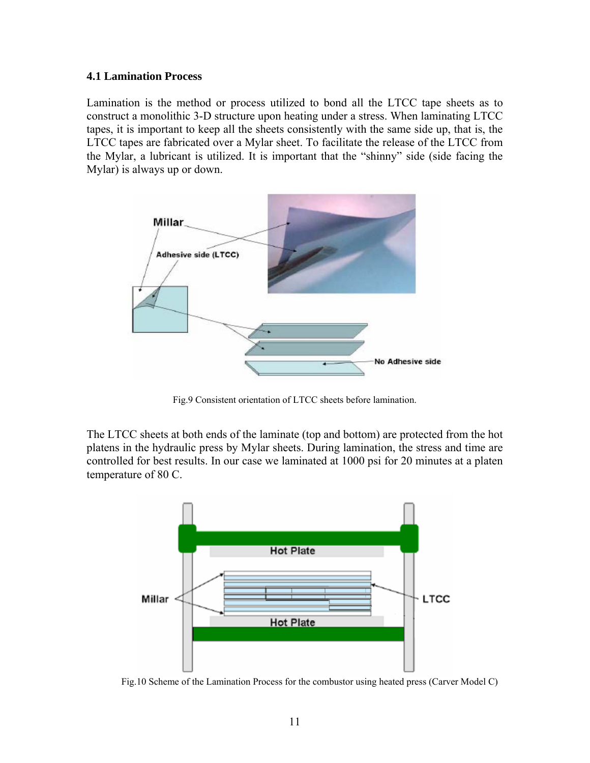#### **4.1 Lamination Process**

Lamination is the method or process utilized to bond all the LTCC tape sheets as to construct a monolithic 3-D structure upon heating under a stress. When laminating LTCC tapes, it is important to keep all the sheets consistently with the same side up, that is, the LTCC tapes are fabricated over a Mylar sheet. To facilitate the release of the LTCC from the Mylar, a lubricant is utilized. It is important that the "shinny" side (side facing the Mylar) is always up or down.



Fig.9 Consistent orientation of LTCC sheets before lamination.

The LTCC sheets at both ends of the laminate (top and bottom) are protected from the hot platens in the hydraulic press by Mylar sheets. During lamination, the stress and time are controlled for best results. In our case we laminated at 1000 psi for 20 minutes at a platen temperature of 80 C.



Fig.10 Scheme of the Lamination Process for the combustor using heated press (Carver Model C)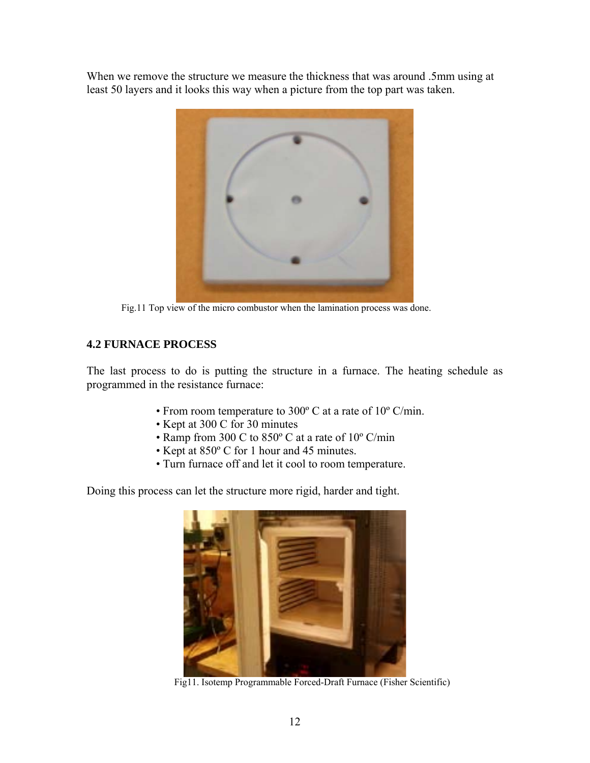When we remove the structure we measure the thickness that was around .5mm using at least 50 layers and it looks this way when a picture from the top part was taken.



Fig.11 Top view of the micro combustor when the lamination process was done.

# **4.2 FURNACE PROCESS**

The last process to do is putting the structure in a furnace. The heating schedule as programmed in the resistance furnace:

- From room temperature to 300º C at a rate of 10º C/min.
- Kept at 300 C for 30 minutes
- Ramp from 300 C to 850º C at a rate of 10º C/min
- Kept at 850º C for 1 hour and 45 minutes.
- Turn furnace off and let it cool to room temperature.

Doing this process can let the structure more rigid, harder and tight.



Fig11. Isotemp Programmable Forced-Draft Furnace (Fisher Scientific)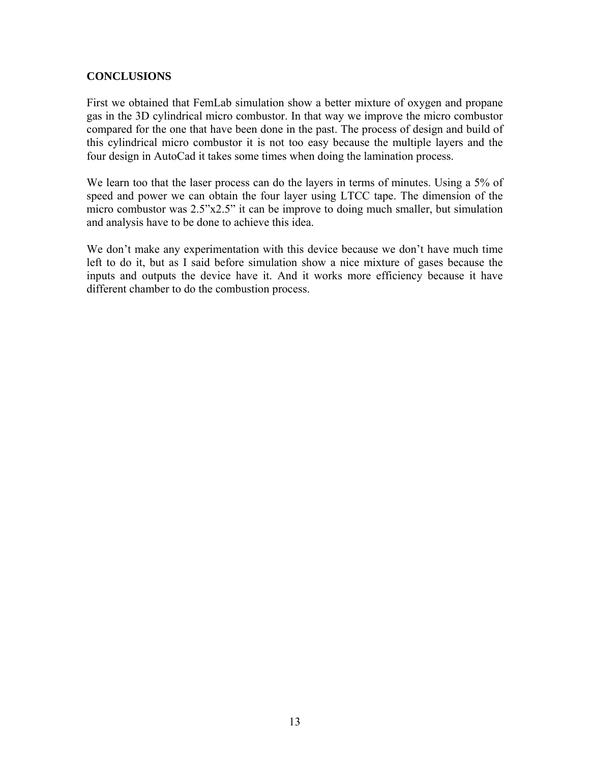## **CONCLUSIONS**

First we obtained that FemLab simulation show a better mixture of oxygen and propane gas in the 3D cylindrical micro combustor. In that way we improve the micro combustor compared for the one that have been done in the past. The process of design and build of this cylindrical micro combustor it is not too easy because the multiple layers and the four design in AutoCad it takes some times when doing the lamination process.

We learn too that the laser process can do the layers in terms of minutes. Using a 5% of speed and power we can obtain the four layer using LTCC tape. The dimension of the micro combustor was 2.5"x2.5" it can be improve to doing much smaller, but simulation and analysis have to be done to achieve this idea.

We don't make any experimentation with this device because we don't have much time left to do it, but as I said before simulation show a nice mixture of gases because the inputs and outputs the device have it. And it works more efficiency because it have different chamber to do the combustion process.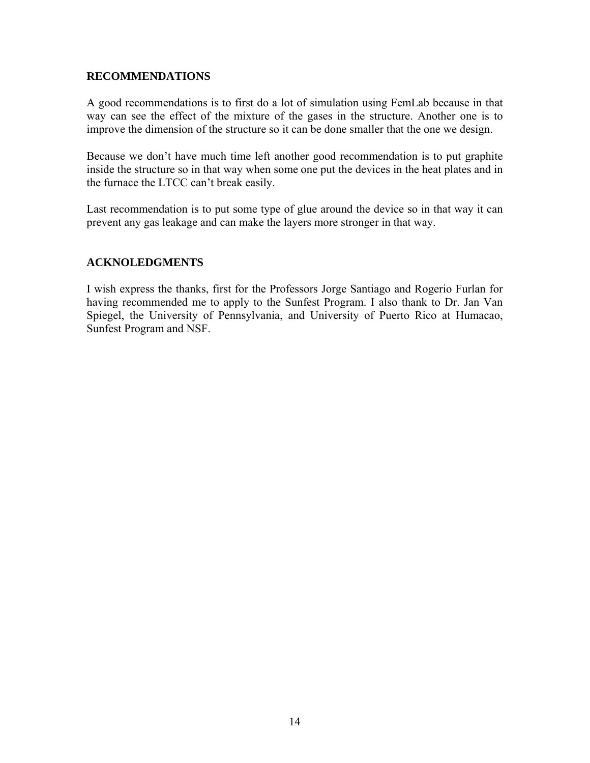### **RECOMMENDATIONS**

A good recommendations is to first do a lot of simulation using FemLab because in that way can see the effect of the mixture of the gases in the structure. Another one is to improve the dimension of the structure so it can be done smaller that the one we design.

Because we don't have much time left another good recommendation is to put graphite inside the structure so in that way when some one put the devices in the heat plates and in the furnace the LTCC can't break easily.

Last recommendation is to put some type of glue around the device so in that way it can prevent any gas leakage and can make the layers more stronger in that way.

## **ACKNOLEDGMENTS**

I wish express the thanks, first for the Professors Jorge Santiago and Rogerio Furlan for having recommended me to apply to the Sunfest Program. I also thank to Dr. Jan Van Spiegel, the University of Pennsylvania, and University of Puerto Rico at Humacao, Sunfest Program and NSF.